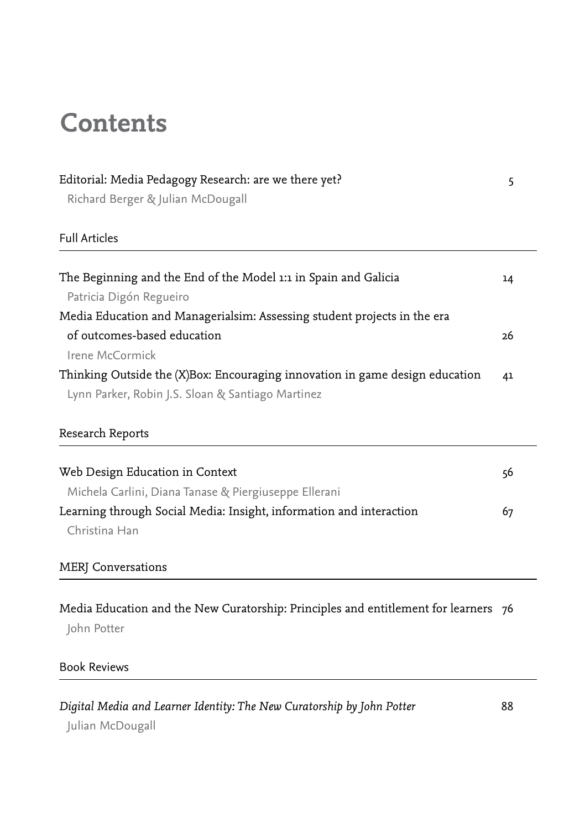## **Contents**

| Editorial: Media Pedagogy Research: are we there yet?<br>Richard Berger & Julian McDougall | 5  |
|--------------------------------------------------------------------------------------------|----|
|                                                                                            |    |
| The Beginning and the End of the Model 1:1 in Spain and Galicia                            | 14 |
| Patricia Digón Regueiro                                                                    |    |
| Media Education and Managerialsim: Assessing student projects in the era                   |    |
| of outcomes-based education                                                                | 26 |
| Irene McCormick                                                                            |    |
| Thinking Outside the (X)Box: Encouraging innovation in game design education               | 41 |
| Lynn Parker, Robin J.S. Sloan & Santiago Martinez                                          |    |
| Research Reports                                                                           |    |
| Web Design Education in Context                                                            | 56 |
| Michela Carlini, Diana Tanase & Piergiuseppe Ellerani                                      |    |
| Learning through Social Media: Insight, information and interaction                        | 67 |
| Christina Han                                                                              |    |
| <b>MERJ</b> Conversations                                                                  |    |

Media Education and the New Curatorship: Principles and entitlement for learners 76 John Potter

## Book Reviews

*Digital Media and Learner Identity: The New Curatorship by John Potter* 88 Julian McDougall